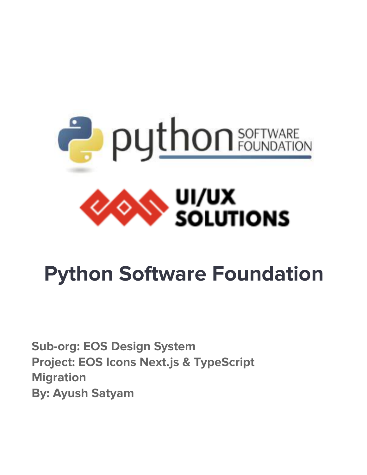

# **Python Software Foundation**

**Sub-org: EOS Design System Project: EOS Icons Next.js & TypeScript Migration By: Ayush Satyam**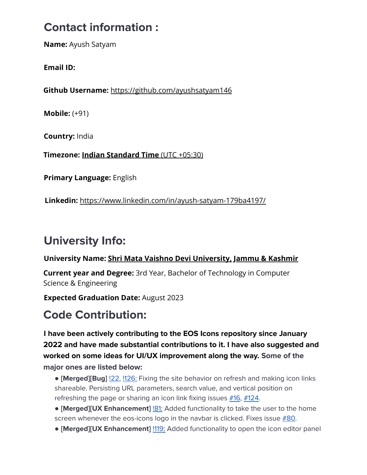### **Contact information :**

**Name:** Ayush Satyam

**Email ID:**

**Github Username:** https://github.com/ayushsatyam146

**Mobile:** (+91)

**Country:** India

**Timezone: Indian Standard Time** (UTC +05:30)

**Primary Language:** English

**Linkedin:** https://www.linkedin.com/in/ayush-satyam-179ba4197/

## **University Info:**

#### **University Name: Shri Mata Vaishno Devi University, Jammu & Kashmir**

**Current year and Degree:** 3rd Year, Bachelor of Technology in Computer Science & Engineering

**Expected Graduation Date:** August 2023

### **Code Contribution:**

**I have been actively contributing to the EOS Icons repository since January 2022 and have made substantial contributions to it. I have also suggested and worked on some ideas for UI/UX improvement along the way. Some of the major ones are listed below:**

- **[Merged][Bug]** [!22,](https://github.com/EOS-uiux-Solutions/eos-icons-landing/pull/22) [!126:](https://github.com/EOS-uiux-Solutions/eos-icons-landing/pull/126) Fixing the site behavior on refresh and making icon links shareable. Persisting URL parameters, search value, and vertical position on refreshing the page or sharing an icon link fixing issues [#16,](https://github.com/EOS-uiux-Solutions/eos-icons-landing/issues/16) [#124.](https://github.com/EOS-uiux-Solutions/eos-icons-landing/issues/124)
- **[Merged][UX Enhancement]** [!81:](https://github.com/EOS-uiux-Solutions/eos-icons-landing/pull/81) Added functionality to take the user to the home screen whenever the eos-icons logo in the navbar is clicked. Fixes issue  $#80$ .
- **[Merged][UX Enhancement]** [!119:](https://github.com/EOS-uiux-Solutions/eos-icons-landing/pull/119) Added functionality to open the icon editor panel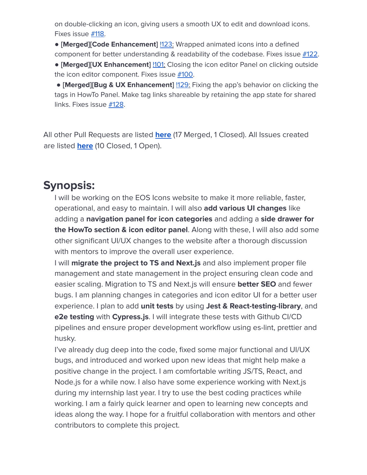on double-clicking an icon, giving users a smooth UX to edit and download icons. Fixes issue [#118.](https://github.com/EOS-uiux-Solutions/eos-icons-landing/issues/118)

● **[Merged][Code Enhancement]** [!123](https://github.com/EOS-uiux-Solutions/eos-icons-landing/pull/123): Wrapped animated icons into a defined component for better understanding & readability of the codebase. Fixes issue  $\#122$  $\#122$ .

● **[Merged][UX Enhancement]** [!101](https://github.com/EOS-uiux-Solutions/eos-icons-landing/pull/101): Closing the icon editor Panel on clicking outside the icon editor component. Fixes issue [#100](https://github.com/EOS-uiux-Solutions/eos-icons-landing/issues/100).

● **[Merged][Bug & UX Enhancement]** [!129:](https://github.com/EOS-uiux-Solutions/eos-icons-landing/pull/129) Fixing the app's behavior on clicking the tags in HowTo Panel. Make tag links shareable by retaining the app state for shared links. Fixes issue [#128](https://github.com/EOS-uiux-Solutions/eos-icons-landing/issues/128).

All other Pull Requests are listed **[here](https://github.com/EOS-uiux-Solutions/eos-icons-landing/pulls?q=is%3Apr+author%3Aayushsatyam146)** (17 Merged, 1 Closed). All Issues created are listed **[here](https://github.com/EOS-uiux-Solutions/eos-icons-landing/issues?q=is%3Aissue+author%3Aayushsatyam146+is%3Aclosed)** (10 Closed, 1 Open).

### **Synopsis:**

I will be working on the EOS Icons website to make it more reliable, faster, operational, and easy to maintain. I will also **add various UI changes** like adding a **navigation panel for icon categories** and adding a **side drawer for the HowTo section & icon editor panel**. Along with these, I will also add some other significant UI/UX changes to the website after a thorough discussion with mentors to improve the overall user experience.

I will **migrate the project to TS and Next.js** and also implement proper file management and state management in the project ensuring clean code and easier scaling. Migration to TS and Next.js will ensure **better SEO** and fewer bugs. I am planning changes in categories and icon editor UI for a better user experience. I plan to add **unit tests** by using **Jest & React-testing-library**, and **e2e testing** with **Cypress.js**. I will integrate these tests with Github CI/CD pipelines and ensure proper development workflow using es-lint, prettier and husky.

I've already dug deep into the code, fixed some major functional and UI/UX bugs, and introduced and worked upon new ideas that might help make a positive change in the project. I am comfortable writing JS/TS, React, and Node.js for a while now. I also have some experience working with Next.js during my internship last year. I try to use the best coding practices while working. I am a fairly quick learner and open to learning new concepts and ideas along the way. I hope for a fruitful collaboration with mentors and other contributors to complete this project.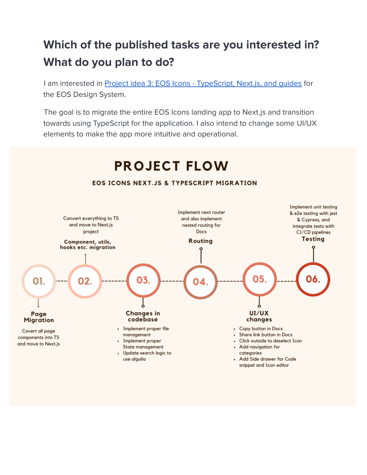### **Which of the published tasks are you interested in? What do you plan to do?**

I am interested in Project idea 3: EOS Icons - [TypeScript,](https://gsoc.eos-icons.com/project-ideas/projects-ideas#project-idea-3-eos-icons-typescript-next.js-and-guides-short-project-175-hours) Next.js, and guides for the EOS Design System.

The goal is to migrate the entire EOS Icons landing app to Next.js and transition towards using TypeScript for the application. I also intend to change some UI/UX elements to make the app more intuitive and operational.

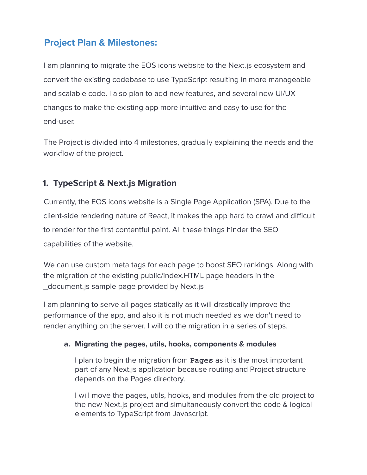### **Project Plan & Milestones:**

I am planning to migrate the EOS icons website to the Next.js ecosystem and convert the existing codebase to use TypeScript resulting in more manageable and scalable code. I also plan to add new features, and several new UI/UX changes to make the existing app more intuitive and easy to use for the end-user.

The Project is divided into 4 milestones, gradually explaining the needs and the workflow of the project.

#### **1. TypeScript & Next.js Migration**

Currently, the EOS icons website is a Single Page Application (SPA). Due to the client-side rendering nature of React, it makes the app hard to crawl and difficult to render for the first contentful paint. All these things hinder the SEO capabilities of the website.

We can use custom meta tags for each page to boost SEO rankings. Along with the migration of the existing public/index.HTML page headers in the \_document.js sample page provided by Next.js

I am planning to serve all pages statically as it will drastically improve the performance of the app, and also it is not much needed as we don't need to render anything on the server. I will do the migration in a series of steps.

#### **a. Migrating the pages, utils, hooks, components & modules**

I plan to begin the migration from **Pages** as it is the most important part of any Next.js application because routing and Project structure depends on the Pages directory.

I will move the pages, utils, hooks, and modules from the old project to the new Next.js project and simultaneously convert the code & logical elements to TypeScript from Javascript.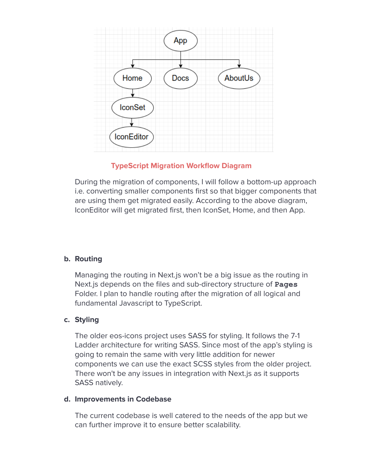

#### **TypeScript Migration Workflow Diagram**

During the migration of components, I will follow a bottom-up approach i.e. converting smaller components first so that bigger components that are using them get migrated easily. According to the above diagram, IconEditor will get migrated first, then IconSet, Home, and then App.

#### **b. Routing**

Managing the routing in Next.js won't be a big issue as the routing in Next.js depends on the files and sub-directory structure of **Pages** Folder. I plan to handle routing after the migration of all logical and fundamental Javascript to TypeScript.

#### **c. Styling**

The older eos-icons project uses SASS for styling. It follows the 7-1 Ladder architecture for writing SASS. Since most of the app's styling is going to remain the same with very little addition for newer components we can use the exact SCSS styles from the older project. There won't be any issues in integration with Next.js as it supports SASS natively.

#### **d. Improvements in Codebase**

The current codebase is well catered to the needs of the app but we can further improve it to ensure better scalability.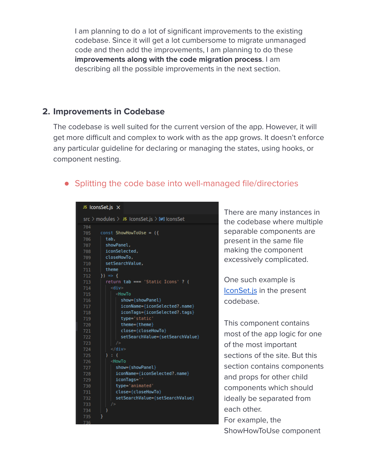I am planning to do a lot of significant improvements to the existing codebase. Since it will get a lot cumbersome to migrate unmanaged code and then add the improvements, I am planning to do these **improvements along with the code migration process**. I am describing all the possible improvements in the next section.

#### **2. Improvements in Codebase**

The codebase is well suited for the current version of the app. However, it will get more difficult and complex to work with as the app grows. It doesn't enforce any particular guideline for declaring or managing the states, using hooks, or component nesting.

#### ● Splitting the code base into well-managed file/directories

#### JS IconsSet.js X

|     | src > modules > JS   consSet.js > [@]   consSet |
|-----|-------------------------------------------------|
| 704 |                                                 |
| 705 | $const$ ShowHowToUse = $(f)$                    |
| 706 | tab.                                            |
| 707 | showPanel,                                      |
| 708 | iconSelected,                                   |
| 709 | closeHowTo,                                     |
| 710 | setSearchValue,                                 |
| 711 | theme                                           |
| 712 | $)$ => {                                        |
| 713 | return tab === 'Static Icons' ? (               |
| 714 | <div></div>                                     |
| 715 | <howto< th=""></howto<>                         |
| 716 | show={showPanel}                                |
| 717 | iconName={iconSelected?.name}                   |
| 718 | iconTags={iconSelected?.tags}                   |
| 719 | type='static'                                   |
| 720 | theme={theme}                                   |
| 721 | close={closeHowTo}                              |
| 722 | setSearchValue={setSearchValue}                 |
| 723 | /                                               |
| 724 | $<$ /div $>$                                    |
| 725 | $\mathbf{r} \in \mathbb{C}$<br>Y                |
| 726 | <howto< th=""></howto<>                         |
| 727 | show={showPanel}                                |
| 728 | iconName={iconSelected?.name}                   |
| 729 | iconTags=''                                     |
| 730 | type='animated'                                 |
| 731 | close={closeHowTo}                              |
| 732 | setSearchValue={setSearchValue}                 |
| 733 | />                                              |
| 734 |                                                 |
| 735 |                                                 |
|     |                                                 |

There are many instances in the codebase where multiple separable components are present in the same file making the component excessively complicated.

One such example is [IconSet.js](https://github.com/EOS-uiux-Solutions/eos-icons-landing/blob/master/src/modules/IconsSet.js) in the present codebase.

This component contains most of the app logic for one of the most important sections of the site. But this section contains components and props for other child components which should ideally be separated from each other. For example, the

ShowHowToUse component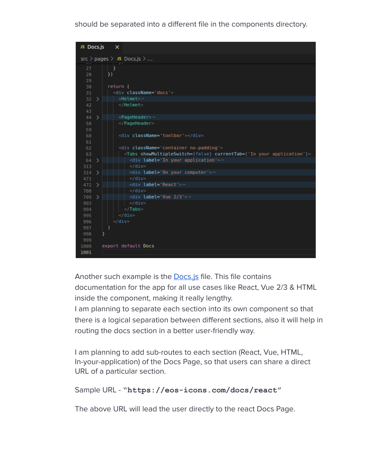should be separated into a different file in the components directory.



Another such example is the **[Docs.js](https://github.com/EOS-uiux-Solutions/eos-icons-landing/blob/master/src/pages/Docs.js)** file. This file contains documentation for the app for all use cases like React, Vue 2/3 & HTML inside the component, making it really lengthy.

I am planning to separate each section into its own component so that there is a logical separation between different sections, also it will help in routing the docs section in a better user-friendly way.

I am planning to add sub-routes to each section (React, Vue, HTML, In-your-application) of the Docs Page, so that users can share a direct URL of a particular section.

#### Sample URL - **"https://eos-icons.com/docs/react"**

The above URL will lead the user directly to the react Docs Page.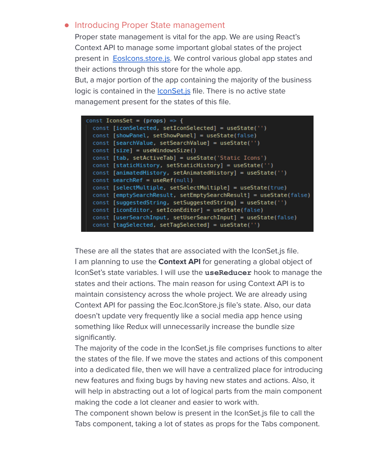#### ● Introducing Proper State management

Proper state management is vital for the app. We are using React's Context API to manage some important global states of the project present in **EosIcons.store.js**. We control various global app states and their actions through this store for the whole app. But, a major portion of the app containing the majority of the business logic is contained in the **IconSet**.js file. There is no active state management present for the states of this file.

| const IconsSet = (props) => {                                     |
|-------------------------------------------------------------------|
| const [iconSelected, setIconSelected] = useState('')              |
| const [showPanel, setShowPanel] = useState(false)                 |
| const [searchValue, setSearchValue] = useState('')                |
| $const$ [size] = useWindowsSize()                                 |
| const [tab, setActiveTab] = useState('Static Icons')              |
| const [staticHistory, setStaticHistory] = useState('')            |
| const [animatedHistory, setAnimatedHistory] = useState('')        |
| $const$ search Ref = use Ref(null)                                |
| const [selectMultiple, setSelectMultiple] = useState(true)        |
| const [emptySearchResult, setEmptySearchResult] = useState(false) |
| const [suggestedString, setSuggestedString] = useState('')        |
| const [iconEditor, setIconEditor] = useState(false)               |
| const [userSearchInput, setUserSearchInput] = useState(false)     |
| const [tagSelected, setTagSelected] = useState('')                |

These are all the states that are associated with the IconSet.js file. I am planning to use the **Context API** for generating a global object of IconSet's state variables. I will use the **useReducer** hook to manage the states and their actions. The main reason for using Context API is to maintain consistency across the whole project. We are already using Context API for passing the Eoc.IconStore.js file's state. Also, our data doesn't update very frequently like a social media app hence using something like Redux will unnecessarily increase the bundle size significantly.

The majority of the code in the IconSet.js file comprises functions to alter the states of the file. If we move the states and actions of this component into a dedicated file, then we will have a centralized place for introducing new features and fixing bugs by having new states and actions. Also, it will help in abstracting out a lot of logical parts from the main component making the code a lot cleaner and easier to work with.

The component shown below is present in the IconSet.js file to call the Tabs component, taking a lot of states as props for the Tabs component.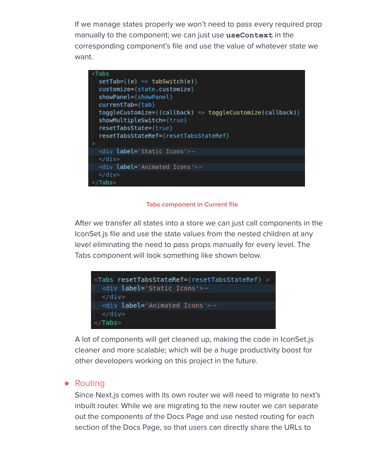If we manage states properly we won't need to pass every required prop manually to the component; we can just use **useContext** in the corresponding component's file and use the value of whatever state we want.



#### **Tabs component in Current file**

After we transfer all states into a store we can just call components in the IconSet.js file and use the state values from the nested children at any level eliminating the need to pass props manually for every level. The Tabs component will look something like shown below.



A lot of components will get cleaned up, making the code in IconSet.js cleaner and more scalable; which will be a huge productivity boost for other developers working on this project in the future.

#### ● Routing

Since Next.js comes with its own router we will need to migrate to next's inbuilt router. While we are migrating to the new router we can separate out the components of the Docs Page and use nested routing for each section of the Docs Page, so that users can directly share the URLs to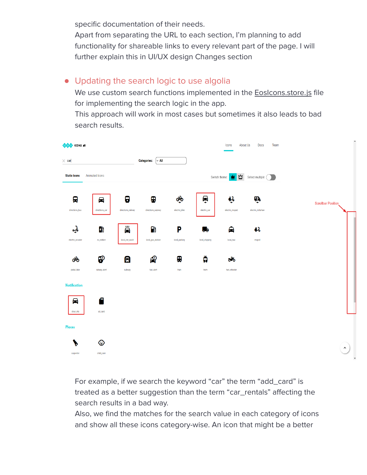specific documentation of their needs.

Apart from separating the URL to each section, I'm planning to add functionality for shareable links to every relevant part of the page. I will further explain this in UI/UX design Changes section

### ● Updating the search logic to use algolia

We use custom search functions implemented in the [EosIcons.store.js](https://github.com/EOS-uiux-Solutions/eos-icons-landing/blob/master/src/utils/EosIcons.store.js) file for implementing the search logic in the app.

This approach will work in most cases but sometimes it also leads to bad search results.



For example, if we search the keyword "car" the term "add\_card" is treated as a better suggestion than the term "car\_rentals" affecting the search results in a bad way.

Also, we find the matches for the search value in each category of icons and show all these icons category-wise. An icon that might be a better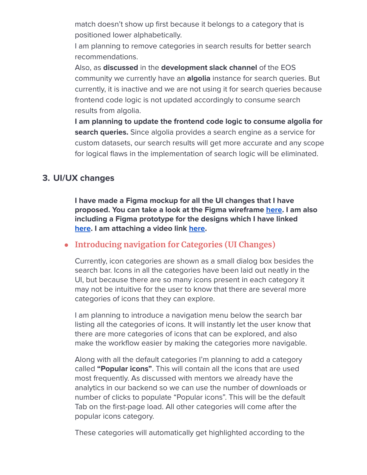match doesn't show up first because it belongs to a category that is positioned lower alphabetically.

I am planning to remove categories in search results for better search recommendations.

Also, as **discussed** in the **development slack channel** of the EOS community we currently have an **algolia** instance for search queries. But currently, it is inactive and we are not using it for search queries because frontend code logic is not updated accordingly to consume search results from algolia.

**I am planning to update the frontend code logic to consume algolia for search queries.** Since algolia provides a search engine as a service for custom datasets, our search results will get more accurate and any scope for logical flaws in the implementation of search logic will be eliminated.

#### **3. UI/UX changes**

**I have made a Figma mockup for all the UI changes that I have proposed. You can take a look at the Figma wireframe [here.](https://www.figma.com/file/hb3Xnb0l7PCGDyoHoGooMj/EOS-icons-Home-page?node-id=0%3A1) I am also including a Figma prototype for the designs which I have linked [here](https://www.figma.com/proto/hb3Xnb0l7PCGDyoHoGooMj/EOS-icons-Home-page?node-id=15%3A25&scaling=min-zoom&page-id=0%3A1&starting-point-node-id=15%3A25). I am attaching a video link [here](https://drive.google.com/file/d/1pr6eVlHgUgJZlMyBz-9G5OBmwhJ-YDHN/view?usp=sharing).**

#### **● Introducing navigation for Categories (UI Changes)**

Currently, icon categories are shown as a small dialog box besides the search bar. Icons in all the categories have been laid out neatly in the UI, but because there are so many icons present in each category it may not be intuitive for the user to know that there are several more categories of icons that they can explore.

I am planning to introduce a navigation menu below the search bar listing all the categories of icons. It will instantly let the user know that there are more categories of icons that can be explored, and also make the workflow easier by making the categories more navigable.

Along with all the default categories I'm planning to add a category called **"Popular icons"**. This will contain all the icons that are used most frequently. As discussed with mentors we already have the analytics in our backend so we can use the number of downloads or number of clicks to populate "Popular icons". This will be the default Tab on the first-page load. All other categories will come after the popular icons category.

These categories will automatically get highlighted according to the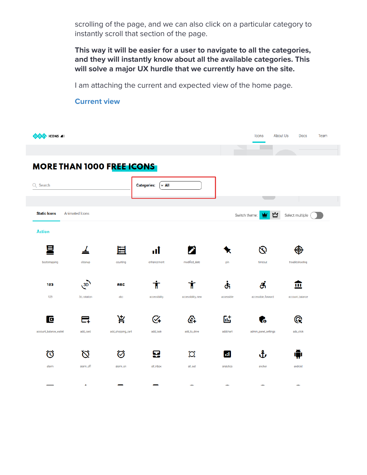scrolling of the page, and we can also click on a particular category to instantly scroll that section of the page.

**This way it will be easier for a user to navigate to all the categories, and they will instantly know about all the available categories. This will solve a major UX hurdle that we currently have on the site.**

I am attaching the current and expected view of the home page.

#### **COS** ICONS AI Icons About Us Docs Team a a **MORE THAN 1000 FREE ICONS** Categories:  $\big[\times$  All Q Search **Static Icons** Animated Icons Select multiple ( MM Switch theme: **Action** 貝  $\mathcal{Q}$ 囯 2 ⊕ ◢ пĪ ⋟ modified\_date timeout bootstrapping cleanup counting enhancement pin troubleshooting  $\sqrt{3D}$  $\boldsymbol{\dot{\intercal}}$ ╈ خ đ. 血 123 **RBC** 123 3d\_rotation accessibility accessible accessible\_forward abc accessibility\_new account\_balance 岸  $C_{+}$ 敺 叵 e. ⅇ G Q add\_task add\_card add\_shopping\_cart add\_to\_drive addchart admin\_panel\_settings ads\_click account\_balance\_wallet Ô  $\varnothing$ ♡ 딮 ᢤ О Ш 喞 alarm alarm\_off alarm\_on all\_inbox all\_out analytics anchor android  $\blacktriangle$  $\overline{\phantom{0}}$  $\overline{\phantom{0}}$

#### **Current view**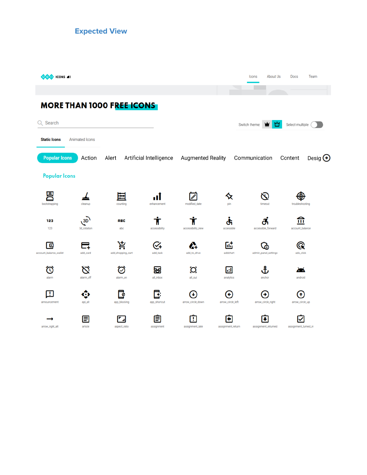**Expected View**

| ICONS <sub>41</sub>                   |                     |                        |                         |                          |                        | About Us<br>Icons        | Team<br>Docs         |                  |  |
|---------------------------------------|---------------------|------------------------|-------------------------|--------------------------|------------------------|--------------------------|----------------------|------------------|--|
|                                       |                     |                        |                         |                          |                        |                          |                      |                  |  |
| <b>MORE THAN 1000 FREE ICONS</b>      |                     |                        |                         |                          |                        |                          |                      |                  |  |
| Q Search                              |                     |                        |                         | ∾<br>Switch theme:<br>₩  | Select multiple        |                          |                      |                  |  |
| <b>Static Icons</b><br>Animated Icons |                     |                        |                         |                          |                        |                          |                      |                  |  |
| <b>Popular Icons</b>                  | Action              | Alert                  | Artificial Intelligence | <b>Augmented Reality</b> |                        | Communication            | Content              | Desig $\bigodot$ |  |
| <b>Popular Icons</b>                  |                     |                        |                         |                          |                        |                          |                      |                  |  |
| bootstrapping                         | cleanup             | counting               | enhancement             | modified date            | nin                    | timeout                  | troubleshooting      |                  |  |
| 123<br>123                            | 3D<br>3d_rotation   | <b>ABC</b><br>abc      | accessibility           | accessibility_new        | ৫১<br>accessible       | accessible_forward       | ш<br>account_balance |                  |  |
| ø<br>account_balance_wallet           | add_card            | д<br>add_shopping_cart | ധ<br>add task           | add_to_drive             | 陆<br>addchart          | admin_panel_settings     | Q<br>ads_click       |                  |  |
| ල<br>alarm                            | 门<br>7<br>alarm_off | ♡<br>alarm_on          | 竪<br>all_inbox          | О<br>all_out             | 圃<br>analytics         | ึ∆<br>anchor             | Ж<br>android         |                  |  |
| п<br>announcement                     | api_alt             | Ø<br>app_blocking      | app_shortcut            | ÷<br>arrow_circle_down   | ÷<br>arrow_circle_left | ۰<br>arrow_circle_right  | ÷<br>arrow_circle_up |                  |  |
| arrow_right_alt                       | E<br>article        | aspect_ratio           | Ξ<br>assignment         | ŗ<br>assignment_late     | ٠<br>assignment_return | ÷<br>assignment_returned | assignment_turned_in |                  |  |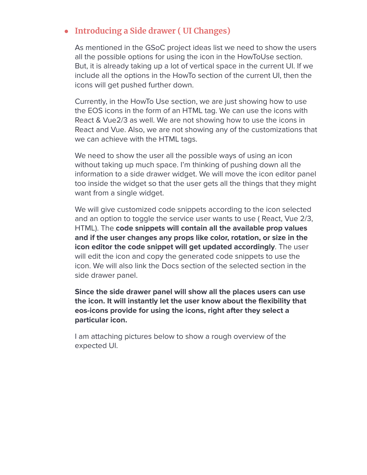#### **● Introducing a Side drawer ( UI Changes)**

As mentioned in the GSoC project ideas list we need to show the users all the possible options for using the icon in the HowToUse section. But, it is already taking up a lot of vertical space in the current UI. If we include all the options in the HowTo section of the current UI, then the icons will get pushed further down.

Currently, in the HowTo Use section, we are just showing how to use the EOS icons in the form of an HTML tag. We can use the icons with React & Vue2/3 as well. We are not showing how to use the icons in React and Vue. Also, we are not showing any of the customizations that we can achieve with the HTML tags.

We need to show the user all the possible ways of using an icon without taking up much space. I'm thinking of pushing down all the information to a side drawer widget. We will move the icon editor panel too inside the widget so that the user gets all the things that they might want from a single widget.

We will give customized code snippets according to the icon selected and an option to toggle the service user wants to use ( React, Vue 2/3, HTML). The **code snippets will contain all the available prop values and if the user changes any props like color, rotation, or size in the icon editor the code snippet will get updated accordingly**. The user will edit the icon and copy the generated code snippets to use the icon. We will also link the Docs section of the selected section in the side drawer panel.

**Since the side drawer panel will show all the places users can use the icon. It will instantly let the user know about the flexibility that eos-icons provide for using the icons, right after they select a particular icon.**

I am attaching pictures below to show a rough overview of the expected UI.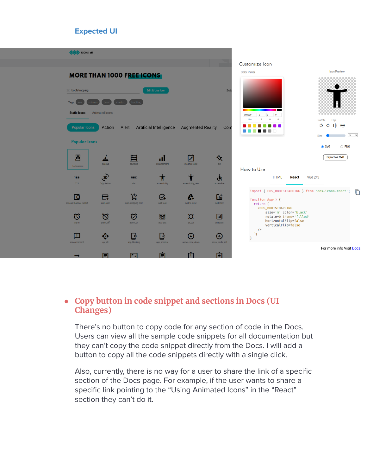#### **Expected UI**

| COS ICONS 41                                                                                           |                            |                                  |                                                   |                           |                        |                                                                                                                                                   |                                                                 |
|--------------------------------------------------------------------------------------------------------|----------------------------|----------------------------------|---------------------------------------------------|---------------------------|------------------------|---------------------------------------------------------------------------------------------------------------------------------------------------|-----------------------------------------------------------------|
|                                                                                                        |                            |                                  |                                                   |                           |                        | Customize Icon                                                                                                                                    |                                                                 |
|                                                                                                        |                            | <b>MORE THAN 1000 FREE ICONS</b> |                                                   | <b>Color Picker</b>       | <b>Icon Preview</b>    |                                                                                                                                                   |                                                                 |
| $\times$ bootstrapping<br>Tags:<br><b>Static Icons</b><br><b>Popular Icons</b><br><b>Popular Icons</b> | Animated Icons<br>Action   | aooting<br>Alert                 | Edit & Use Icon<br><b>Artificial Intelligence</b> | <b>Augmented Reality</b>  | Swit<br>Com            | $\bullet$<br>$\overline{0}$<br>000000<br>$\overline{0}$<br>G<br>B<br>Hex<br>Rotate<br>ు<br>Size                                                   | Flip<br>- 대표<br>¢<br>$m \sim$<br><b>■</b> SVG<br>$\bigcirc$ PNG |
|                                                                                                        |                            |                                  |                                                   |                           |                        |                                                                                                                                                   | <b>Export as SVG</b>                                            |
| 昌<br>bootstrapping                                                                                     | cleanup                    | 囯<br>counting                    | пl<br>enhancement                                 | modified date             | ⅍<br>pin               |                                                                                                                                                   |                                                                 |
| 123<br>123                                                                                             | $\sqrt{3D}$<br>3d_rotation | <b>RBC</b><br>abc                | accessibility                                     | accessibility_new         | خ<br>accessible        | How to Use<br><b>HTML</b><br><b>Vue 2/3</b><br>React                                                                                              |                                                                 |
| 同<br>account_balance_wallet                                                                            | 6<br>add_card              | ¥.<br>add_shopping_cart          | G+<br>add_task                                    | $\bullet$<br>add_to_drive | 尀<br>addchart          | import { EOS_BBOTSTRAPPING } from 'eos-icons-react';<br>function App() {<br>return (<br><e0s_b00tstrapping< th=""><th>戶</th></e0s_b00tstrapping<> | 戶                                                               |
| 匃<br>alarm                                                                                             | Ø<br>alarm_off             | 匂<br>alarm_on                    | 竪<br>all_inbox                                    | $\Omega$<br>all_out       | IаI<br>analytics       | size='m' color='black'<br>rotate=0 theme='filled'<br>horizontalFlip=false<br>verticalFlip=false<br>/                                              |                                                                 |
| п<br>announcement                                                                                      | api_alt                    | ್<br>app_blocking                | ß.<br>app_shortcut                                | arrow_circle_down         | Θ<br>arrow_circle_left | );<br>$\mathcal{F}$                                                                                                                               |                                                                 |
|                                                                                                        | Ξ                          | г.                               | 自                                                 | п                         | G                      |                                                                                                                                                   | For more info Visit Docs                                        |

#### **● Copy button in code snippet and sections in Docs (UI Changes)**

There's no button to copy code for any section of code in the Docs. Users can view all the sample code snippets for all documentation but they can't copy the code snippet directly from the Docs. I will add a button to copy all the code snippets directly with a single click.

Also, currently, there is no way for a user to share the link of a specific section of the Docs page. For example, if the user wants to share a specific link pointing to the "Using Animated Icons" in the "React" section they can't do it.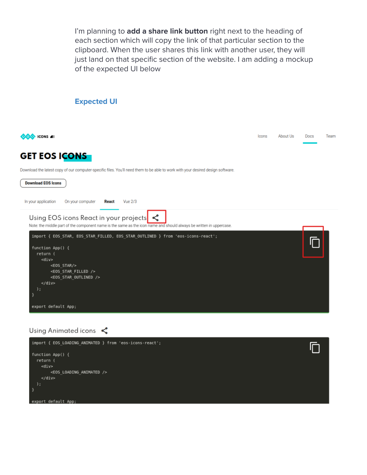I'm planning to **add a share link button** right next to the heading of each section which will copy the link of that particular section to the clipboard. When the user shares this link with another user, they will just land on that specific section of the website. I am adding a mockup of the expected UI below

#### **Expected UI**

| <b>CONS 41</b>                                                                                                                                                       | Icons | About Us | Docs | Team |
|----------------------------------------------------------------------------------------------------------------------------------------------------------------------|-------|----------|------|------|
| <b>GET EOS ICONS</b>                                                                                                                                                 |       |          |      |      |
| Download the latest copy of our computer-specific files. You'll need them to be able to work with your desired design software.                                      |       |          |      |      |
| <b>Download EOS Icons</b>                                                                                                                                            |       |          |      |      |
| <b>Vue 2/3</b><br>In your application<br>On your computer<br><b>React</b>                                                                                            |       |          |      |      |
| Using EOS icons React in your projects $\leq$<br>Note: the middle part of the component name is the same as the icon name and should always be written in uppercase. |       |          |      |      |
| import { EOS STAR, EOS STAR FILLED, EOS STAR OUTLINED } from 'eos-icons-react';                                                                                      |       |          |      |      |
| function $App() {$<br>return (                                                                                                                                       |       |          |      |      |
| $<$ div $>$                                                                                                                                                          |       |          |      |      |
| <e0s star=""></e0s><br><e0s filled="" star=""></e0s>                                                                                                                 |       |          |      |      |
| <eos outlined="" star=""></eos>                                                                                                                                      |       |          |      |      |
| $\langle$ div $>$<br>$)$ ;                                                                                                                                           |       |          |      |      |
|                                                                                                                                                                      |       |          |      |      |
| export default App;                                                                                                                                                  |       |          |      |      |
|                                                                                                                                                                      |       |          |      |      |

Using Animated icons

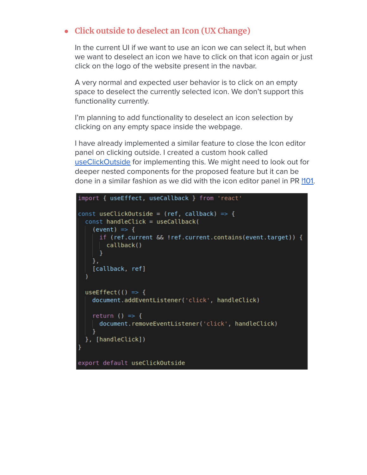#### **● Click outside to deselect an Icon (UX Change)**

In the current UI if we want to use an icon we can select it, but when we want to deselect an icon we have to click on that icon again or just click on the logo of the website present in the navbar.

A very normal and expected user behavior is to click on an empty space to deselect the currently selected icon. We don't support this functionality currently.

I'm planning to add functionality to deselect an icon selection by clicking on any empty space inside the webpage.

I have already implemented a similar feature to close the Icon editor panel on clicking outside. I created a custom hook called [useClickOutside](https://github.com/EOS-uiux-Solutions/eos-icons-landing/blob/master/src/hooks/useClickOutside.js) for implementing this. We might need to look out for deeper nested components for the proposed feature but it can be done in a similar fashion as we did with the icon editor panel in PR  $\frac{101}{101}$ .

```
import { useEffect, useCallback } from 'react'
const useClickOutside = (ref, callback) => {
 const handleClick = useCallback(
    (event) \Rightarrow \{if (ref.current && !ref.current.contains(event.target)) {
        callback()
      }
   },
    [callback, ref]
 useEffect(() => {
   document.addEventListener('click', handleClick)
   return () => {
     document.removeEventListener('click', handleClick)
    ¥
  }, [handleClick])
export default useClickOutside
```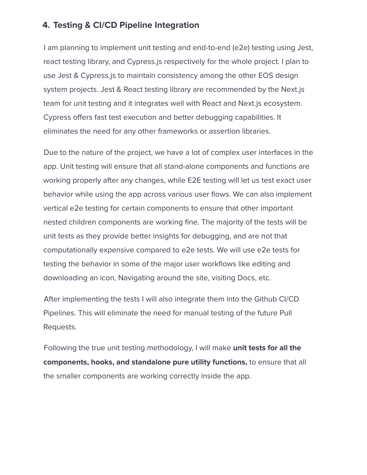#### **4. Testing & CI/CD Pipeline Integration**

I am planning to implement unit testing and end-to-end (e2e) testing using Jest, react testing library, and Cypress.js respectively for the whole project. I plan to use Jest & Cypress.js to maintain consistency among the other EOS design system projects. Jest & React testing library are recommended by the Next.js team for unit testing and it integrates well with React and Next.js ecosystem. Cypress offers fast test execution and better debugging capabilities. It eliminates the need for any other frameworks or assertion libraries.

Due to the nature of the project, we have a lot of complex user interfaces in the app. Unit testing will ensure that all stand-alone components and functions are working properly after any changes, while E2E testing will let us test exact user behavior while using the app across various user flows. We can also implement vertical e2e testing for certain components to ensure that other important nested children components are working fine. The majority of the tests will be unit tests as they provide better insights for debugging, and are not that computationally expensive compared to e2e tests. We will use e2e tests for testing the behavior in some of the major user workflows like editing and downloading an icon, Navigating around the site, visiting Docs, etc.

After implementing the tests I will also integrate them into the Github CI/CD Pipelines. This will eliminate the need for manual testing of the future Pull Requests.

Following the true unit testing methodology, I will make **unit tests for all the components, hooks, and standalone pure utility functions,** to ensure that all the smaller components are working correctly inside the app.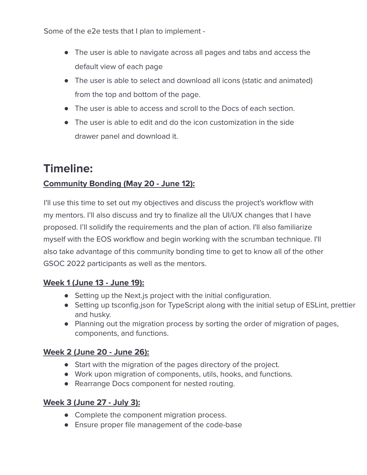Some of the e2e tests that I plan to implement -

- The user is able to navigate across all pages and tabs and access the default view of each page
- The user is able to select and download all icons (static and animated) from the top and bottom of the page.
- The user is able to access and scroll to the Docs of each section.
- The user is able to edit and do the icon customization in the side drawer panel and download it.

### **Timeline:**

#### **Community Bonding (May 20 - June 12):**

I'll use this time to set out my objectives and discuss the project's workflow with my mentors. I'll also discuss and try to finalize all the UI/UX changes that I have proposed. I'll solidify the requirements and the plan of action. I'll also familiarize myself with the EOS workflow and begin working with the scrumban technique. I'll also take advantage of this community bonding time to get to know all of the other GSOC 2022 participants as well as the mentors.

#### **Week 1 (June 13 - June 19):**

- Setting up the Next.js project with the initial configuration.
- Setting up tsconfig.json for TypeScript along with the initial setup of ESLint, prettier and husky.
- Planning out the migration process by sorting the order of migration of pages, components, and functions.

#### **Week 2 (June 20 - June 26):**

- Start with the migration of the pages directory of the project.
- Work upon migration of components, utils, hooks, and functions.
- Rearrange Docs component for nested routing.

#### **Week 3 (June 27 - July 3):**

- Complete the component migration process.
- Ensure proper file management of the code-base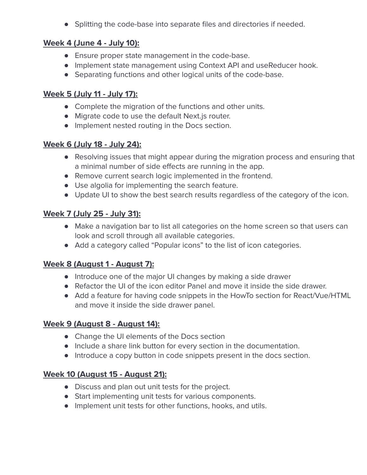● Splitting the code-base into separate files and directories if needed.

#### **Week 4 (June 4 - July 10):**

- Ensure proper state management in the code-base.
- Implement state management using Context API and useReducer hook.
- Separating functions and other logical units of the code-base.

#### **Week 5 (July 11 - July 17):**

- Complete the migration of the functions and other units.
- Migrate code to use the default Next.js router.
- Implement nested routing in the Docs section.

#### **Week 6 (July 18 - July 24):**

- Resolving issues that might appear during the migration process and ensuring that a minimal number of side effects are running in the app.
- Remove current search logic implemented in the frontend.
- Use algolia for implementing the search feature.
- Update UI to show the best search results regardless of the category of the icon.

#### **Week 7 (July 25 - July 31):**

- Make a navigation bar to list all categories on the home screen so that users can look and scroll through all available categories.
- Add a category called "Popular icons" to the list of icon categories.

#### **Week 8 (August 1 - August 7):**

- Introduce one of the major UI changes by making a side drawer
- Refactor the UI of the icon editor Panel and move it inside the side drawer.
- Add a feature for having code snippets in the HowTo section for React/Vue/HTML and move it inside the side drawer panel.

#### **Week 9 (August 8 - August 14):**

- Change the UI elements of the Docs section
- Include a share link button for every section in the documentation.
- Introduce a copy button in code snippets present in the docs section.

#### **Week 10 (August 15 - August 21):**

- Discuss and plan out unit tests for the project.
- Start implementing unit tests for various components.
- Implement unit tests for other functions, hooks, and utils.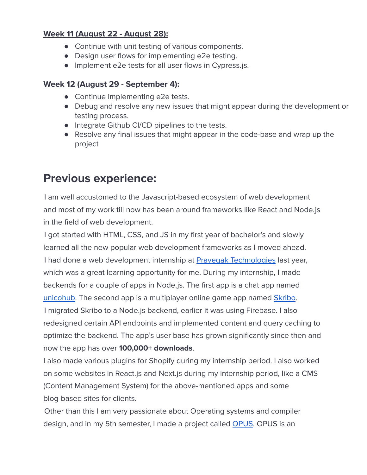#### **Week 11 (August 22 - August 28):**

- Continue with unit testing of various components.
- Design user flows for implementing e2e testing.
- Implement e2e tests for all user flows in Cypress.js.

#### **Week 12 (August 29 - September 4):**

- Continue implementing e2e tests.
- Debug and resolve any new issues that might appear during the development or testing process.
- Integrate Github CI/CD pipelines to the tests.
- Resolve any final issues that might appear in the code-base and wrap up the project

### **Previous experience:**

I am well accustomed to the Javascript-based ecosystem of web development and most of my work till now has been around frameworks like React and Node.js in the field of web development.

I got started with HTML, CSS, and JS in my first year of bachelor's and slowly learned all the new popular web development frameworks as I moved ahead. I had done a web development internship at **Pravegak [Technologies](https://www.pravegak.in/)** last year, which was a great learning opportunity for me. During my internship, I made backends for a couple of apps in Node.js. The first app is a chat app named [unicohub](https://play.google.com/store/apps/details?id=com.karata.unicohub). The second app is a multiplayer online game app named [Skribo](https://play.google.com/store/apps/details?id=com.pravegak.skribo). I migrated Skribo to a Node.js backend, earlier it was using Firebase. I also redesigned certain API endpoints and implemented content and query caching to optimize the backend. The app's user base has grown significantly since then and now the app has over **100,000+ downloads**.

I also made various plugins for Shopify during my internship period. I also worked on some websites in React.js and Next.js during my internship period, like a CMS (Content Management System) for the above-mentioned apps and some blog-based sites for clients.

Other than this I am very passionate about Operating systems and compiler design, and in my 5th semester, I made a project called [OPUS](https://github.com/ayushsatyam146/OPUS-Backend). OPUS is an